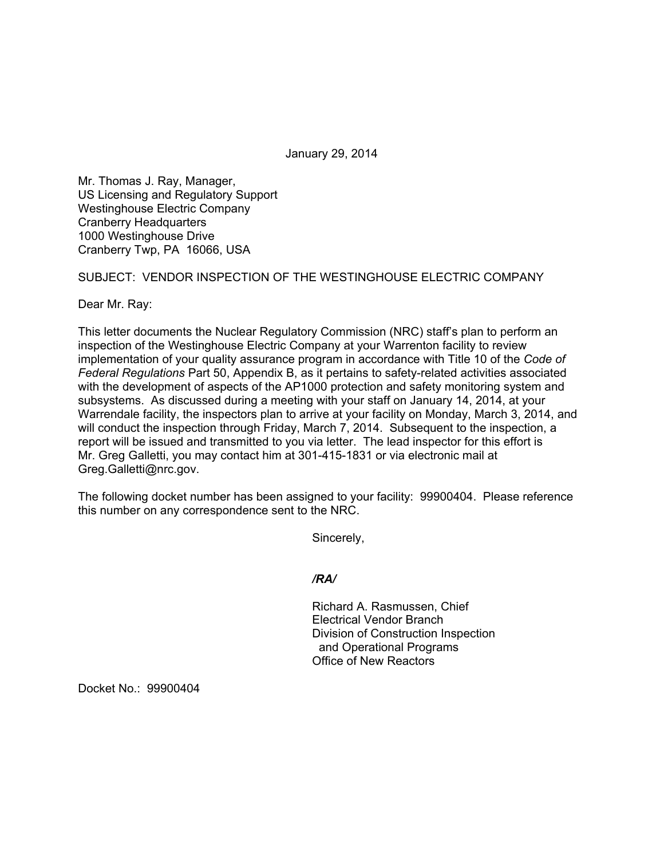January 29, 2014

Mr. Thomas J. Ray, Manager, US Licensing and Regulatory Support Westinghouse Electric Company Cranberry Headquarters 1000 Westinghouse Drive Cranberry Twp, PA 16066, USA

## SUBJECT: VENDOR INSPECTION OF THE WESTINGHOUSE ELECTRIC COMPANY

Dear Mr. Ray:

This letter documents the Nuclear Regulatory Commission (NRC) staff's plan to perform an inspection of the Westinghouse Electric Company at your Warrenton facility to review implementation of your quality assurance program in accordance with Title 10 of the *Code of Federal Regulations* Part 50, Appendix B, as it pertains to safety-related activities associated with the development of aspects of the AP1000 protection and safety monitoring system and subsystems. As discussed during a meeting with your staff on January 14, 2014, at your Warrendale facility, the inspectors plan to arrive at your facility on Monday, March 3, 2014, and will conduct the inspection through Friday, March 7, 2014. Subsequent to the inspection, a report will be issued and transmitted to you via letter. The lead inspector for this effort is Mr. Greg Galletti, you may contact him at 301-415-1831 or via electronic mail at Greg.Galletti@nrc.gov.

The following docket number has been assigned to your facility: 99900404. Please reference this number on any correspondence sent to the NRC.

Sincerely,

*/RA/* 

Richard A. Rasmussen, Chief Electrical Vendor Branch Division of Construction Inspection and Operational Programs Office of New Reactors

Docket No.: 99900404